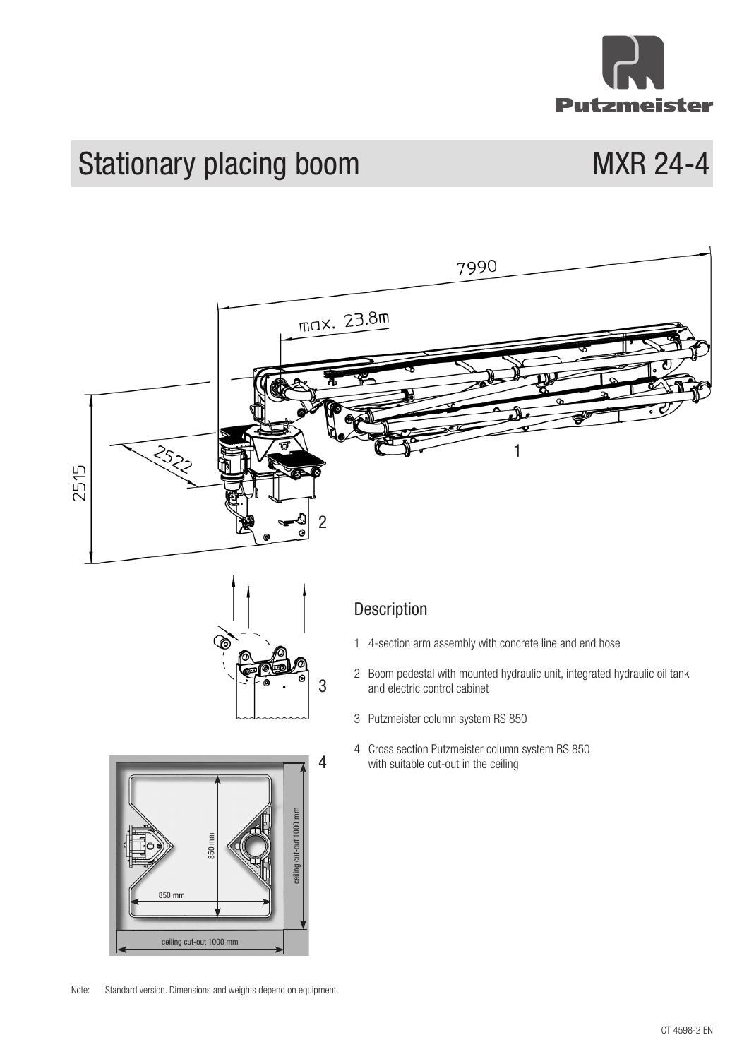

# Stationary placing boom MXR 24-4